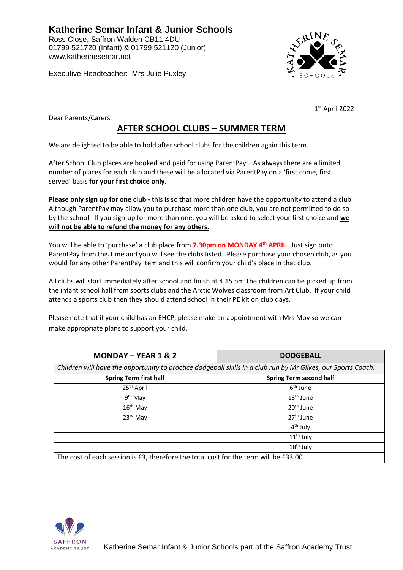Executive Headteacher: Mrs Julie Puxley



1 st April 2022

Dear Parents/Carers

## **AFTER SCHOOL CLUBS – SUMMER TERM**

We are delighted to be able to hold after school clubs for the children again this term.

After School Club places are booked and paid for using ParentPay. As always there are a limited number of places for each club and these will be allocated via ParentPay on a 'first come, first served' basis **for your first choice only**.

**Please only sign up for one club -** this is so that more children have the opportunity to attend a club. Although ParentPay may allow you to purchase more than one club, you are not permitted to do so by the school. If you sign-up for more than one, you will be asked to select your first choice and **we will not be able to refund the money for any others.** 

You will be able to 'purchase' a club place from **7.30pm on MONDAY 4th APRIL**. Just sign onto ParentPay from this time and you will see the clubs listed. Please purchase your chosen club, as you would for any other ParentPay item and this will confirm your child's place in that club.

All clubs will start immediately after school and finish at 4.15 pm The children can be picked up from the infant school hall from sports clubs and the Arctic Wolves classroom from Art Club. If your child attends a sports club then they should attend school in their PE kit on club days.

Please note that if your child has an EHCP, please make an appointment with Mrs Moy so we can make appropriate plans to support your child.

| <b>MONDAY - YEAR 1 &amp; 2</b>                                                                                | <b>DODGEBALL</b>               |  |
|---------------------------------------------------------------------------------------------------------------|--------------------------------|--|
| Children will have the opportunity to practice dodgeball skills in a club run by Mr Gilkes, our Sports Coach. |                                |  |
| <b>Spring Term first half</b>                                                                                 | <b>Spring Term second half</b> |  |
| 25 <sup>th</sup> April                                                                                        | 6 <sup>th</sup> June           |  |
| 9 <sup>th</sup> May                                                                                           | 13 <sup>th</sup> June          |  |
| $16th$ May                                                                                                    | 20 <sup>th</sup> June          |  |
| 23rd May                                                                                                      | 27 <sup>th</sup> June          |  |
|                                                                                                               | $4th$ July                     |  |
|                                                                                                               | $11th$ July                    |  |
|                                                                                                               | 18 <sup>th</sup> July          |  |
| The cost of each session is £3, therefore the total cost for the term will be £33.00                          |                                |  |

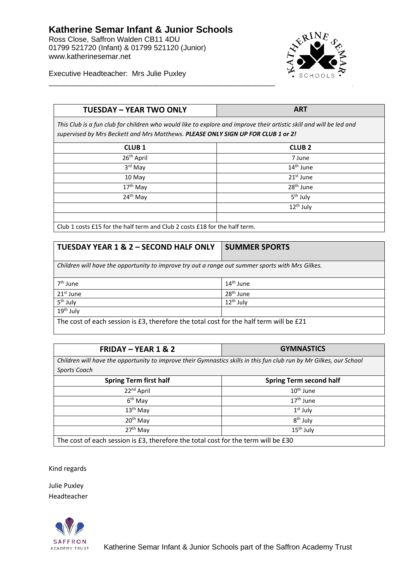## **Katherine Semar Infant & Junior Schools**

Ross Close, Saffron Walden CB11 4DU 01799 521720 (Infant) & 01799 521120 (Junior) www.katherinesemar.net



Executive Headteacher: Mrs Julie Puxley

| <b>TUESDAY - YEAR TWO ONLY</b>                                                                                                                                                                          | <b>ART</b>              |
|---------------------------------------------------------------------------------------------------------------------------------------------------------------------------------------------------------|-------------------------|
| This Club is a fun club for children who would like to explore and improve their artistic skill and will be led and<br>supervised by Mrs Beckett and Mrs Matthews. PLEASE ONLY SIGN UP FOR CLUB 1 or 2! |                         |
| <b>CLUB1</b>                                                                                                                                                                                            | <b>CLUB<sub>2</sub></b> |
| 26 <sup>th</sup> April                                                                                                                                                                                  | 7 June                  |
| 3 <sup>rd</sup> May                                                                                                                                                                                     | $14th$ June             |
| 10 May                                                                                                                                                                                                  | 21 <sup>st</sup> June   |
| 17 <sup>th</sup> May                                                                                                                                                                                    | 28 <sup>th</sup> June   |
| $24th$ May                                                                                                                                                                                              | $5th$ July              |
|                                                                                                                                                                                                         | 12 <sup>th</sup> July   |
|                                                                                                                                                                                                         |                         |
| Club 1 costs £15 for the half term and Club 2 costs £18 for the half term.                                                                                                                              |                         |

| <b>TUESDAY YEAR 1 &amp; 2 - SECOND HALF ONLY</b>                                                 | <b>SUMMER SPORTS</b>  |  |
|--------------------------------------------------------------------------------------------------|-----------------------|--|
| Children will have the opportunity to improve try out a range out summer sports with Mrs Gilkes. |                       |  |
| $7th$ June                                                                                       | $14th$ June           |  |
| $21st$ June                                                                                      | 28 <sup>th</sup> June |  |
| 5 <sup>th</sup> July                                                                             | $12^{th}$ July        |  |
| 19 <sup>th</sup> July                                                                            |                       |  |
| The cost of each session is £3, therefore the total cost for the half term will be £21           |                       |  |

| <b>FRIDAY - YEAR 1 &amp; 2</b>                                                                                      | <b>GYMNASTICS</b>              |
|---------------------------------------------------------------------------------------------------------------------|--------------------------------|
| Children will have the opportunity to improve their Gymnastics skills in this fun club run by Mr Gilkes, our School |                                |
| Sports Coach                                                                                                        |                                |
| <b>Spring Term first half</b>                                                                                       | <b>Spring Term second half</b> |
| 22 <sup>nd</sup> April                                                                                              | $10^{\text{th}}$ June          |
| $6th$ May                                                                                                           | 17 <sup>th</sup> June          |
| 13 <sup>th</sup> May                                                                                                | $1st$ July                     |
| 20 <sup>th</sup> May                                                                                                | 8 <sup>th</sup> July           |
| 27 <sup>th</sup> May                                                                                                | 15 <sup>th</sup> July          |
| The cost of each session is £3, therefore the total cost for the term will be £30                                   |                                |

Kind regards

Julie Puxley Headteacher